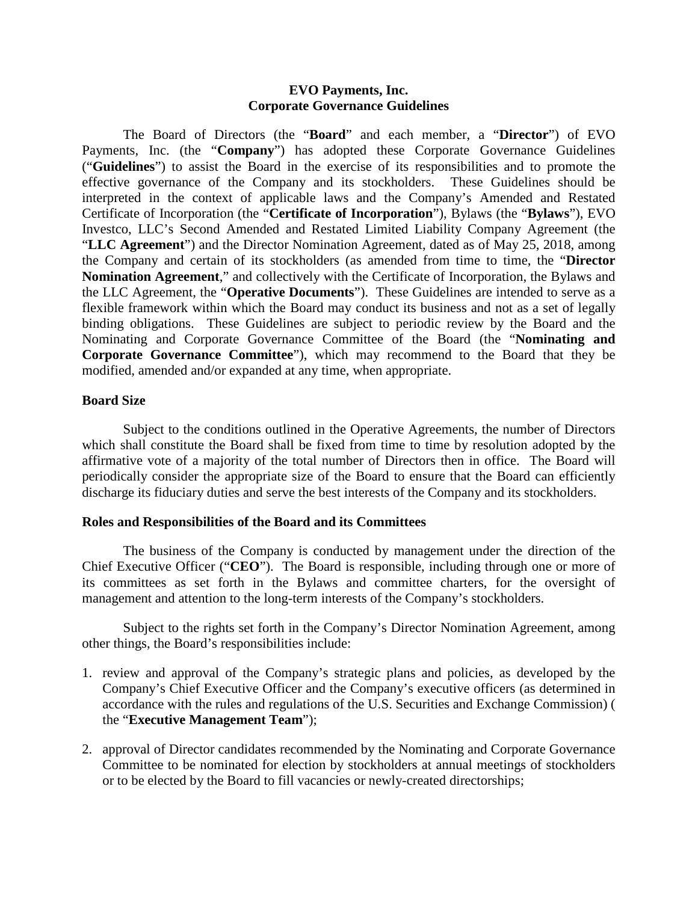### **EVO Payments, Inc. Corporate Governance Guidelines**

The Board of Directors (the "**Board**" and each member, a "**Director**") of EVO Payments, Inc. (the "**Company**") has adopted these Corporate Governance Guidelines ("**Guidelines**") to assist the Board in the exercise of its responsibilities and to promote the effective governance of the Company and its stockholders. These Guidelines should be interpreted in the context of applicable laws and the Company's Amended and Restated Certificate of Incorporation (the "**Certificate of Incorporation**"), Bylaws (the "**Bylaws**"), EVO Investco, LLC's Second Amended and Restated Limited Liability Company Agreement (the "**LLC Agreement**") and the Director Nomination Agreement, dated as of May 25, 2018, among the Company and certain of its stockholders (as amended from time to time, the "**Director Nomination Agreement**," and collectively with the Certificate of Incorporation, the Bylaws and the LLC Agreement, the "**Operative Documents**"). These Guidelines are intended to serve as a flexible framework within which the Board may conduct its business and not as a set of legally binding obligations. These Guidelines are subject to periodic review by the Board and the Nominating and Corporate Governance Committee of the Board (the "**Nominating and Corporate Governance Committee**"), which may recommend to the Board that they be modified, amended and/or expanded at any time, when appropriate.

### **Board Size**

Subject to the conditions outlined in the Operative Agreements, the number of Directors which shall constitute the Board shall be fixed from time to time by resolution adopted by the affirmative vote of a majority of the total number of Directors then in office. The Board will periodically consider the appropriate size of the Board to ensure that the Board can efficiently discharge its fiduciary duties and serve the best interests of the Company and its stockholders.

### **Roles and Responsibilities of the Board and its Committees**

The business of the Company is conducted by management under the direction of the Chief Executive Officer ("**CEO**"). The Board is responsible, including through one or more of its committees as set forth in the Bylaws and committee charters, for the oversight of management and attention to the long-term interests of the Company's stockholders.

Subject to the rights set forth in the Company's Director Nomination Agreement, among other things, the Board's responsibilities include:

- 1. review and approval of the Company's strategic plans and policies, as developed by the Company's Chief Executive Officer and the Company's executive officers (as determined in accordance with the rules and regulations of the U.S. Securities and Exchange Commission) ( the "**Executive Management Team**");
- 2. approval of Director candidates recommended by the Nominating and Corporate Governance Committee to be nominated for election by stockholders at annual meetings of stockholders or to be elected by the Board to fill vacancies or newly-created directorships;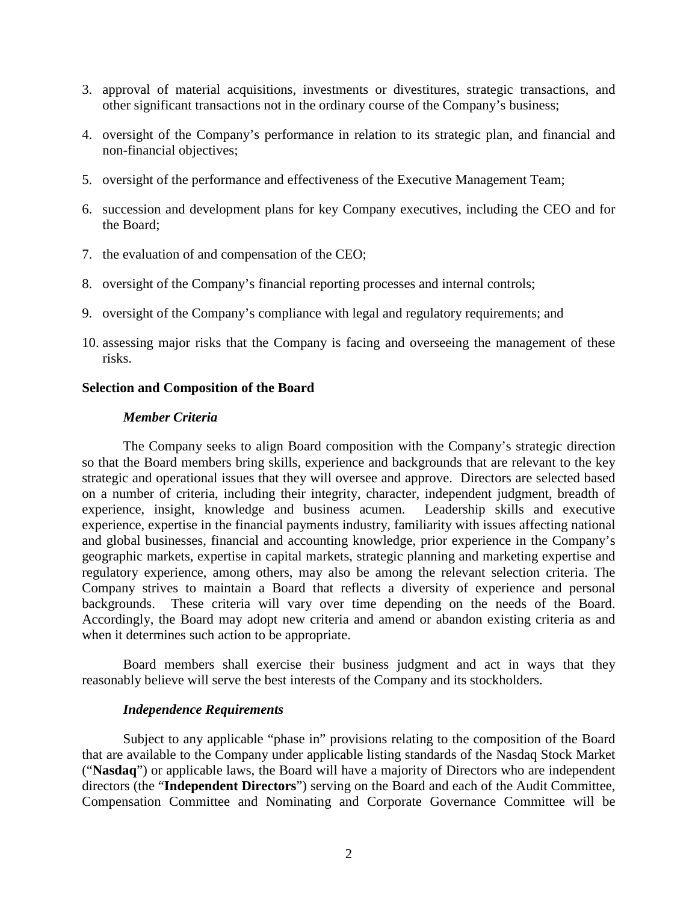- 3. approval of material acquisitions, investments or divestitures, strategic transactions, and other significant transactions not in the ordinary course of the Company's business;
- 4. oversight of the Company's performance in relation to its strategic plan, and financial and non-financial objectives;
- 5. oversight of the performance and effectiveness of the Executive Management Team;
- 6. succession and development plans for key Company executives, including the CEO and for the Board;
- 7. the evaluation of and compensation of the CEO;
- 8. oversight of the Company's financial reporting processes and internal controls;
- 9. oversight of the Company's compliance with legal and regulatory requirements; and
- 10. assessing major risks that the Company is facing and overseeing the management of these risks.

## **Selection and Composition of the Board**

### *Member Criteria*

The Company seeks to align Board composition with the Company's strategic direction so that the Board members bring skills, experience and backgrounds that are relevant to the key strategic and operational issues that they will oversee and approve. Directors are selected based on a number of criteria, including their integrity, character, independent judgment, breadth of experience, insight, knowledge and business acumen. Leadership skills and executive experience, expertise in the financial payments industry, familiarity with issues affecting national and global businesses, financial and accounting knowledge, prior experience in the Company's geographic markets, expertise in capital markets, strategic planning and marketing expertise and regulatory experience, among others, may also be among the relevant selection criteria. The Company strives to maintain a Board that reflects a diversity of experience and personal backgrounds. These criteria will vary over time depending on the needs of the Board. Accordingly, the Board may adopt new criteria and amend or abandon existing criteria as and when it determines such action to be appropriate.

Board members shall exercise their business judgment and act in ways that they reasonably believe will serve the best interests of the Company and its stockholders.

### *Independence Requirements*

Subject to any applicable "phase in" provisions relating to the composition of the Board that are available to the Company under applicable listing standards of the Nasdaq Stock Market ("**Nasdaq**") or applicable laws, the Board will have a majority of Directors who are independent directors (the "**Independent Directors**") serving on the Board and each of the Audit Committee, Compensation Committee and Nominating and Corporate Governance Committee will be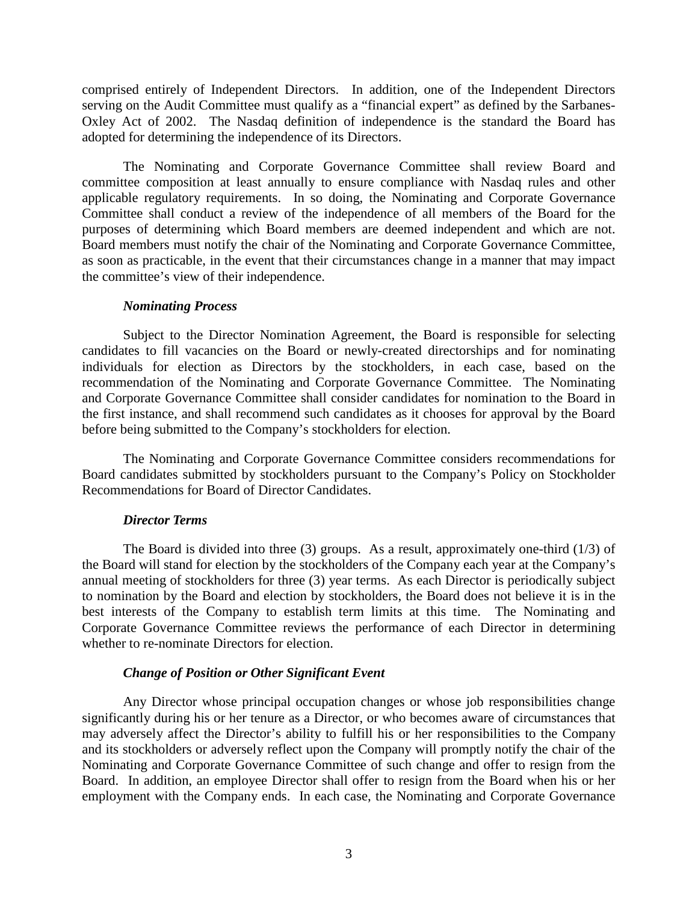comprised entirely of Independent Directors. In addition, one of the Independent Directors serving on the Audit Committee must qualify as a "financial expert" as defined by the Sarbanes-Oxley Act of 2002. The Nasdaq definition of independence is the standard the Board has adopted for determining the independence of its Directors.

The Nominating and Corporate Governance Committee shall review Board and committee composition at least annually to ensure compliance with Nasdaq rules and other applicable regulatory requirements. In so doing, the Nominating and Corporate Governance Committee shall conduct a review of the independence of all members of the Board for the purposes of determining which Board members are deemed independent and which are not. Board members must notify the chair of the Nominating and Corporate Governance Committee, as soon as practicable, in the event that their circumstances change in a manner that may impact the committee's view of their independence.

## *Nominating Process*

Subject to the Director Nomination Agreement, the Board is responsible for selecting candidates to fill vacancies on the Board or newly-created directorships and for nominating individuals for election as Directors by the stockholders, in each case, based on the recommendation of the Nominating and Corporate Governance Committee. The Nominating and Corporate Governance Committee shall consider candidates for nomination to the Board in the first instance, and shall recommend such candidates as it chooses for approval by the Board before being submitted to the Company's stockholders for election.

The Nominating and Corporate Governance Committee considers recommendations for Board candidates submitted by stockholders pursuant to the Company's Policy on Stockholder Recommendations for Board of Director Candidates.

# *Director Terms*

The Board is divided into three (3) groups. As a result, approximately one-third (1/3) of the Board will stand for election by the stockholders of the Company each year at the Company's annual meeting of stockholders for three (3) year terms. As each Director is periodically subject to nomination by the Board and election by stockholders, the Board does not believe it is in the best interests of the Company to establish term limits at this time. The Nominating and Corporate Governance Committee reviews the performance of each Director in determining whether to re-nominate Directors for election.

# *Change of Position or Other Significant Event*

Any Director whose principal occupation changes or whose job responsibilities change significantly during his or her tenure as a Director, or who becomes aware of circumstances that may adversely affect the Director's ability to fulfill his or her responsibilities to the Company and its stockholders or adversely reflect upon the Company will promptly notify the chair of the Nominating and Corporate Governance Committee of such change and offer to resign from the Board. In addition, an employee Director shall offer to resign from the Board when his or her employment with the Company ends. In each case, the Nominating and Corporate Governance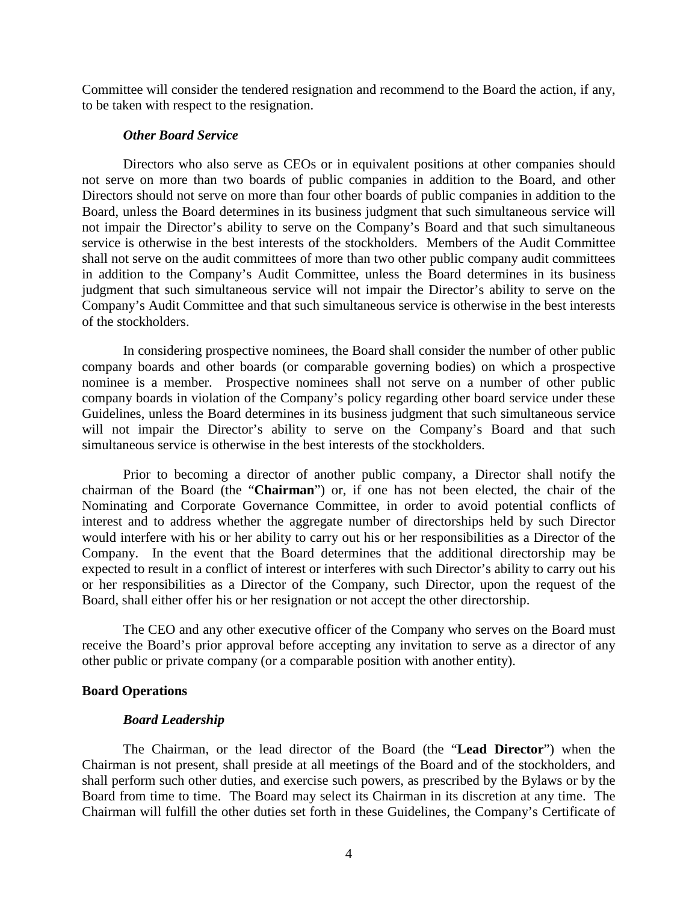Committee will consider the tendered resignation and recommend to the Board the action, if any, to be taken with respect to the resignation.

### *Other Board Service*

Directors who also serve as CEOs or in equivalent positions at other companies should not serve on more than two boards of public companies in addition to the Board, and other Directors should not serve on more than four other boards of public companies in addition to the Board, unless the Board determines in its business judgment that such simultaneous service will not impair the Director's ability to serve on the Company's Board and that such simultaneous service is otherwise in the best interests of the stockholders. Members of the Audit Committee shall not serve on the audit committees of more than two other public company audit committees in addition to the Company's Audit Committee, unless the Board determines in its business judgment that such simultaneous service will not impair the Director's ability to serve on the Company's Audit Committee and that such simultaneous service is otherwise in the best interests of the stockholders.

In considering prospective nominees, the Board shall consider the number of other public company boards and other boards (or comparable governing bodies) on which a prospective nominee is a member. Prospective nominees shall not serve on a number of other public company boards in violation of the Company's policy regarding other board service under these Guidelines, unless the Board determines in its business judgment that such simultaneous service will not impair the Director's ability to serve on the Company's Board and that such simultaneous service is otherwise in the best interests of the stockholders.

Prior to becoming a director of another public company, a Director shall notify the chairman of the Board (the "**Chairman**") or, if one has not been elected, the chair of the Nominating and Corporate Governance Committee, in order to avoid potential conflicts of interest and to address whether the aggregate number of directorships held by such Director would interfere with his or her ability to carry out his or her responsibilities as a Director of the Company. In the event that the Board determines that the additional directorship may be expected to result in a conflict of interest or interferes with such Director's ability to carry out his or her responsibilities as a Director of the Company, such Director, upon the request of the Board, shall either offer his or her resignation or not accept the other directorship.

The CEO and any other executive officer of the Company who serves on the Board must receive the Board's prior approval before accepting any invitation to serve as a director of any other public or private company (or a comparable position with another entity).

### **Board Operations**

### *Board Leadership*

The Chairman, or the lead director of the Board (the "**Lead Director**") when the Chairman is not present, shall preside at all meetings of the Board and of the stockholders, and shall perform such other duties, and exercise such powers, as prescribed by the Bylaws or by the Board from time to time. The Board may select its Chairman in its discretion at any time. The Chairman will fulfill the other duties set forth in these Guidelines, the Company's Certificate of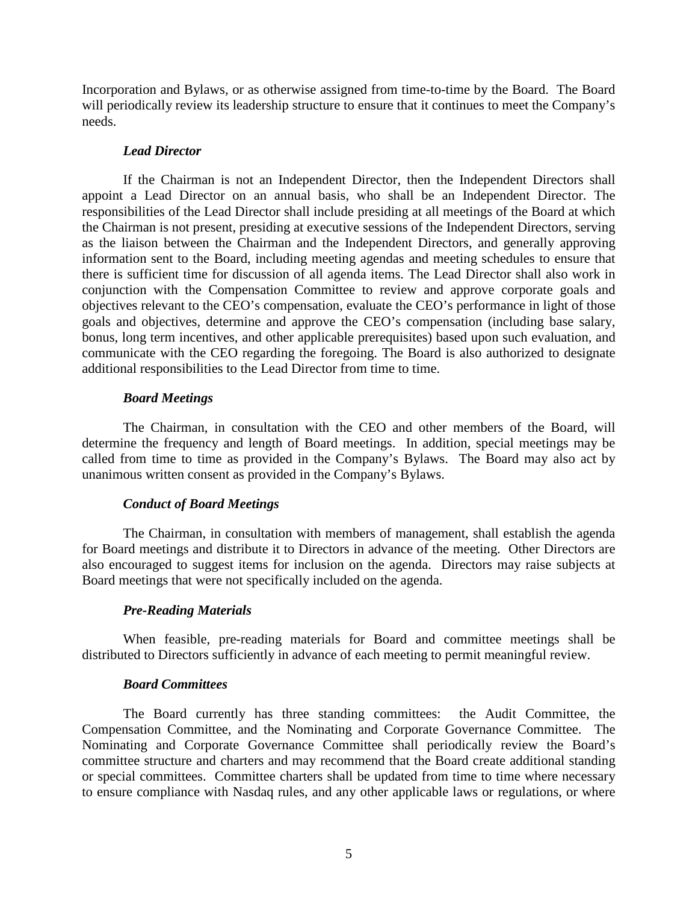Incorporation and Bylaws, or as otherwise assigned from time-to-time by the Board. The Board will periodically review its leadership structure to ensure that it continues to meet the Company's needs.

## *Lead Director*

If the Chairman is not an Independent Director, then the Independent Directors shall appoint a Lead Director on an annual basis, who shall be an Independent Director. The responsibilities of the Lead Director shall include presiding at all meetings of the Board at which the Chairman is not present, presiding at executive sessions of the Independent Directors, serving as the liaison between the Chairman and the Independent Directors, and generally approving information sent to the Board, including meeting agendas and meeting schedules to ensure that there is sufficient time for discussion of all agenda items. The Lead Director shall also work in conjunction with the Compensation Committee to review and approve corporate goals and objectives relevant to the CEO's compensation, evaluate the CEO's performance in light of those goals and objectives, determine and approve the CEO's compensation (including base salary, bonus, long term incentives, and other applicable prerequisites) based upon such evaluation, and communicate with the CEO regarding the foregoing. The Board is also authorized to designate additional responsibilities to the Lead Director from time to time.

# *Board Meetings*

The Chairman, in consultation with the CEO and other members of the Board, will determine the frequency and length of Board meetings. In addition, special meetings may be called from time to time as provided in the Company's Bylaws. The Board may also act by unanimous written consent as provided in the Company's Bylaws.

# *Conduct of Board Meetings*

The Chairman, in consultation with members of management, shall establish the agenda for Board meetings and distribute it to Directors in advance of the meeting. Other Directors are also encouraged to suggest items for inclusion on the agenda. Directors may raise subjects at Board meetings that were not specifically included on the agenda.

# *Pre-Reading Materials*

When feasible, pre-reading materials for Board and committee meetings shall be distributed to Directors sufficiently in advance of each meeting to permit meaningful review.

# *Board Committees*

The Board currently has three standing committees: the Audit Committee, the Compensation Committee, and the Nominating and Corporate Governance Committee. The Nominating and Corporate Governance Committee shall periodically review the Board's committee structure and charters and may recommend that the Board create additional standing or special committees. Committee charters shall be updated from time to time where necessary to ensure compliance with Nasdaq rules, and any other applicable laws or regulations, or where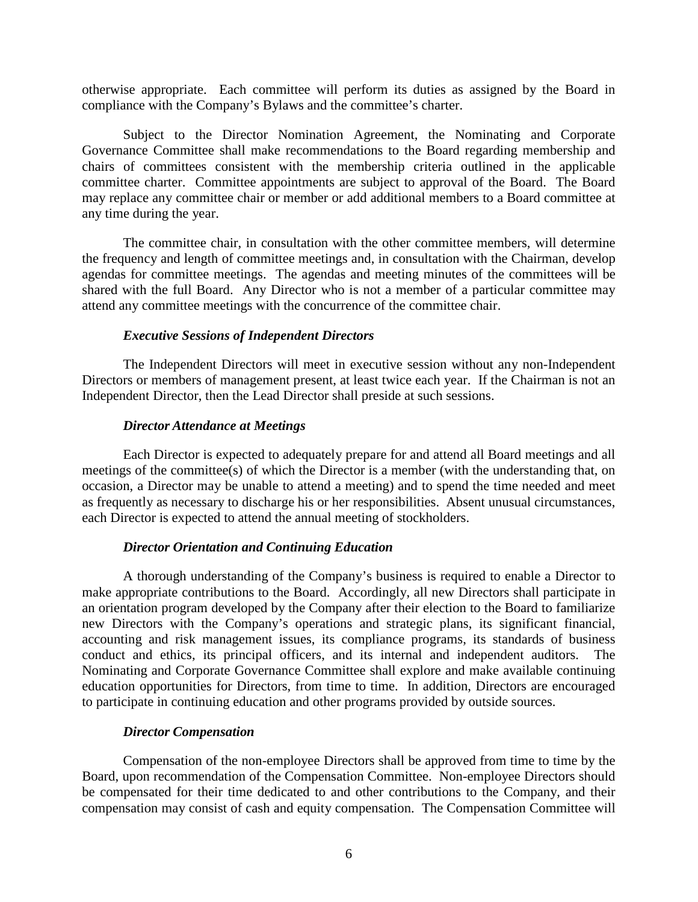otherwise appropriate. Each committee will perform its duties as assigned by the Board in compliance with the Company's Bylaws and the committee's charter.

Subject to the Director Nomination Agreement, the Nominating and Corporate Governance Committee shall make recommendations to the Board regarding membership and chairs of committees consistent with the membership criteria outlined in the applicable committee charter. Committee appointments are subject to approval of the Board. The Board may replace any committee chair or member or add additional members to a Board committee at any time during the year.

The committee chair, in consultation with the other committee members, will determine the frequency and length of committee meetings and, in consultation with the Chairman, develop agendas for committee meetings. The agendas and meeting minutes of the committees will be shared with the full Board. Any Director who is not a member of a particular committee may attend any committee meetings with the concurrence of the committee chair.

# *Executive Sessions of Independent Directors*

The Independent Directors will meet in executive session without any non-Independent Directors or members of management present, at least twice each year. If the Chairman is not an Independent Director, then the Lead Director shall preside at such sessions.

## *Director Attendance at Meetings*

Each Director is expected to adequately prepare for and attend all Board meetings and all meetings of the committee(s) of which the Director is a member (with the understanding that, on occasion, a Director may be unable to attend a meeting) and to spend the time needed and meet as frequently as necessary to discharge his or her responsibilities. Absent unusual circumstances, each Director is expected to attend the annual meeting of stockholders.

# *Director Orientation and Continuing Education*

A thorough understanding of the Company's business is required to enable a Director to make appropriate contributions to the Board. Accordingly, all new Directors shall participate in an orientation program developed by the Company after their election to the Board to familiarize new Directors with the Company's operations and strategic plans, its significant financial, accounting and risk management issues, its compliance programs, its standards of business conduct and ethics, its principal officers, and its internal and independent auditors. The Nominating and Corporate Governance Committee shall explore and make available continuing education opportunities for Directors, from time to time. In addition, Directors are encouraged to participate in continuing education and other programs provided by outside sources.

# *Director Compensation*

Compensation of the non-employee Directors shall be approved from time to time by the Board, upon recommendation of the Compensation Committee. Non-employee Directors should be compensated for their time dedicated to and other contributions to the Company, and their compensation may consist of cash and equity compensation. The Compensation Committee will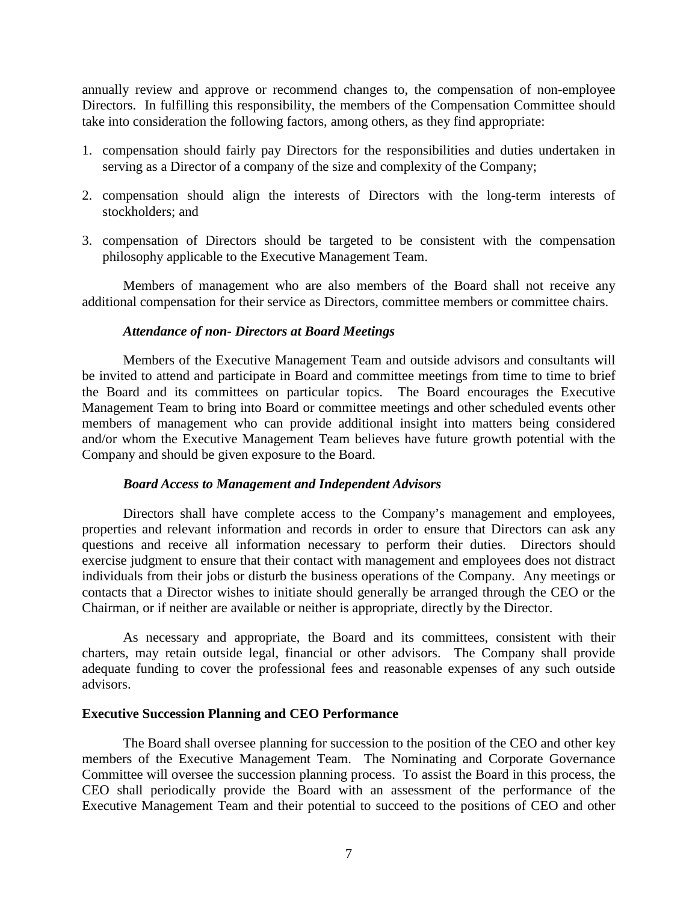annually review and approve or recommend changes to, the compensation of non-employee Directors. In fulfilling this responsibility, the members of the Compensation Committee should take into consideration the following factors, among others, as they find appropriate:

- 1. compensation should fairly pay Directors for the responsibilities and duties undertaken in serving as a Director of a company of the size and complexity of the Company;
- 2. compensation should align the interests of Directors with the long-term interests of stockholders; and
- 3. compensation of Directors should be targeted to be consistent with the compensation philosophy applicable to the Executive Management Team.

Members of management who are also members of the Board shall not receive any additional compensation for their service as Directors, committee members or committee chairs.

### *Attendance of non- Directors at Board Meetings*

Members of the Executive Management Team and outside advisors and consultants will be invited to attend and participate in Board and committee meetings from time to time to brief the Board and its committees on particular topics. The Board encourages the Executive Management Team to bring into Board or committee meetings and other scheduled events other members of management who can provide additional insight into matters being considered and/or whom the Executive Management Team believes have future growth potential with the Company and should be given exposure to the Board.

#### *Board Access to Management and Independent Advisors*

Directors shall have complete access to the Company's management and employees, properties and relevant information and records in order to ensure that Directors can ask any questions and receive all information necessary to perform their duties. Directors should exercise judgment to ensure that their contact with management and employees does not distract individuals from their jobs or disturb the business operations of the Company. Any meetings or contacts that a Director wishes to initiate should generally be arranged through the CEO or the Chairman, or if neither are available or neither is appropriate, directly by the Director.

As necessary and appropriate, the Board and its committees, consistent with their charters, may retain outside legal, financial or other advisors. The Company shall provide adequate funding to cover the professional fees and reasonable expenses of any such outside advisors.

## **Executive Succession Planning and CEO Performance**

The Board shall oversee planning for succession to the position of the CEO and other key members of the Executive Management Team. The Nominating and Corporate Governance Committee will oversee the succession planning process. To assist the Board in this process, the CEO shall periodically provide the Board with an assessment of the performance of the Executive Management Team and their potential to succeed to the positions of CEO and other